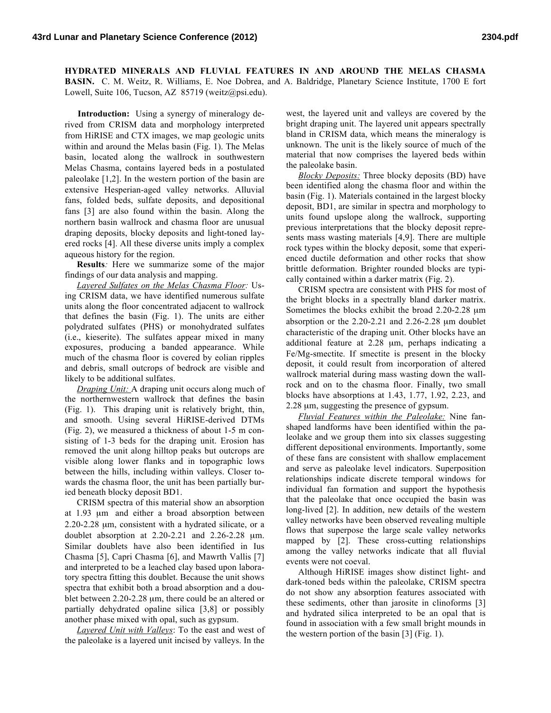**HYDRATED MINERALS AND FLUVIAL FEATURES IN AND AROUND THE MELAS CHASMA BASIN.** C. M. Weitz, R. Williams, E. Noe Dobrea, and A. Baldridge, Planetary Science Institute, 1700 E fort Lowell, Suite 106, Tucson, AZ 85719 (weitz@psi.edu).

**Introduction:** Using a synergy of mineralogy derived from CRISM data and morphology interpreted from HiRISE and CTX images, we map geologic units within and around the Melas basin (Fig. 1). The Melas basin, located along the wallrock in southwestern Melas Chasma, contains layered beds in a postulated paleolake [1,2]. In the western portion of the basin are extensive Hesperian-aged valley networks. Alluvial fans, folded beds, sulfate deposits, and depositional fans [3] are also found within the basin. Along the northern basin wallrock and chasma floor are unusual draping deposits, blocky deposits and light-toned layered rocks [4]. All these diverse units imply a complex aqueous history for the region.

**Results***:* Here we summarize some of the major findings of our data analysis and mapping.

*Layered Sulfates on the Melas Chasma Floor:* Using CRISM data, we have identified numerous sulfate units along the floor concentrated adjacent to wallrock that defines the basin (Fig. 1). The units are either polydrated sulfates (PHS) or monohydrated sulfates (i.e., kieserite). The sulfates appear mixed in many exposures, producing a banded appearance. While much of the chasma floor is covered by eolian ripples and debris, small outcrops of bedrock are visible and likely to be additional sulfates.

*Draping Unit:* A draping unit occurs along much of the northernwestern wallrock that defines the basin (Fig. 1). This draping unit is relatively bright, thin, and smooth. Using several HiRISE-derived DTMs (Fig. 2), we measured a thickness of about 1-5 m consisting of 1-3 beds for the draping unit. Erosion has removed the unit along hilltop peaks but outcrops are visible along lower flanks and in topographic lows between the hills, including within valleys. Closer towards the chasma floor, the unit has been partially buried beneath blocky deposit BD1.

CRISM spectra of this material show an absorption at 1.93 µm and either a broad absorption between 2.20-2.28 µm, consistent with a hydrated silicate, or a doublet absorption at  $2.20 - 2.21$  and  $2.26 - 2.28$  µm. Similar doublets have also been identified in Ius Chasma [5], Capri Chasma [6], and Mawrth Vallis [7] and interpreted to be a leached clay based upon laboratory spectra fitting this doublet. Because the unit shows spectra that exhibit both a broad absorption and a doublet between 2.20-2.28 µm, there could be an altered or partially dehydrated opaline silica [3,8] or possibly another phase mixed with opal, such as gypsum.

*Layered Unit with Valleys*: To the east and west of the paleolake is a layered unit incised by valleys. In the

west, the layered unit and valleys are covered by the bright draping unit. The layered unit appears spectrally bland in CRISM data, which means the mineralogy is unknown. The unit is the likely source of much of the material that now comprises the layered beds within the paleolake basin.

*Blocky Deposits:* Three blocky deposits (BD) have been identified along the chasma floor and within the basin (Fig. 1). Materials contained in the largest blocky deposit, BD1, are similar in spectra and morphology to units found upslope along the wallrock, supporting previous interpretations that the blocky deposit represents mass wasting materials [4,9]. There are multiple rock types within the blocky deposit, some that experienced ductile deformation and other rocks that show brittle deformation. Brighter rounded blocks are typically contained within a darker matrix (Fig. 2).

CRISM spectra are consistent with PHS for most of the bright blocks in a spectrally bland darker matrix. Sometimes the blocks exhibit the broad 2.20-2.28  $\mu$ m absorption or the  $2.20-2.21$  and  $2.26-2.28$  µm doublet characteristic of the draping unit. Other blocks have an additional feature at 2.28 µm, perhaps indicating a Fe/Mg-smectite. If smectite is present in the blocky deposit, it could result from incorporation of altered wallrock material during mass wasting down the wallrock and on to the chasma floor. Finally, two small blocks have absorptions at 1.43, 1.77, 1.92, 2.23, and 2.28 µm, suggesting the presence of gypsum.

*Fluvial Features within the Paleolake:* Nine fanshaped landforms have been identified within the paleolake and we group them into six classes suggesting different depositional environments. Importantly, some of these fans are consistent with shallow emplacement and serve as paleolake level indicators. Superposition relationships indicate discrete temporal windows for individual fan formation and support the hypothesis that the paleolake that once occupied the basin was long-lived [2]. In addition, new details of the western valley networks have been observed revealing multiple flows that superpose the large scale valley networks mapped by [2]. These cross-cutting relationships among the valley networks indicate that all fluvial events were not coeval.

Although HiRISE images show distinct light- and dark-toned beds within the paleolake, CRISM spectra do not show any absorption features associated with these sediments, other than jarosite in clinoforms [3] and hydrated silica interpreted to be an opal that is found in association with a few small bright mounds in the western portion of the basin [3] (Fig. 1).